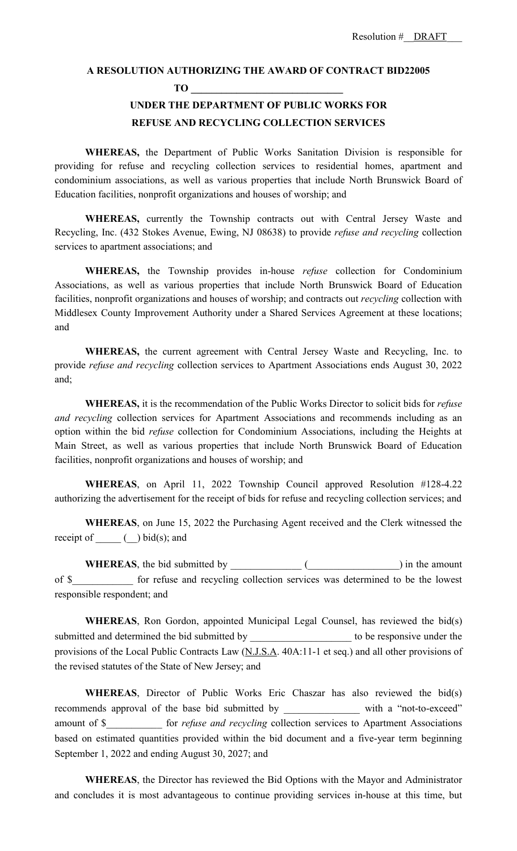## **A RESOLUTION AUTHORIZING THE AWARD OF CONTRACT BID22005**

**TO \_\_\_\_\_\_\_\_\_\_\_\_\_\_\_\_\_\_\_\_\_\_\_\_\_\_\_\_\_\_**

## **UNDER THE DEPARTMENT OF PUBLIC WORKS FOR REFUSE AND RECYCLING COLLECTION SERVICES**

**WHEREAS,** the Department of Public Works Sanitation Division is responsible for providing for refuse and recycling collection services to residential homes, apartment and condominium associations, as well as various properties that include North Brunswick Board of Education facilities, nonprofit organizations and houses of worship; and

**WHEREAS,** currently the Township contracts out with Central Jersey Waste and Recycling, Inc. (432 Stokes Avenue, Ewing, NJ 08638) to provide *refuse and recycling* collection services to apartment associations; and

**WHEREAS,** the Township provides in-house *refuse* collection for Condominium Associations, as well as various properties that include North Brunswick Board of Education facilities, nonprofit organizations and houses of worship; and contracts out *recycling* collection with Middlesex County Improvement Authority under a Shared Services Agreement at these locations; and

**WHEREAS,** the current agreement with Central Jersey Waste and Recycling, Inc. to provide *refuse and recycling* collection services to Apartment Associations ends August 30, 2022 and;

**WHEREAS,** it is the recommendation of the Public Works Director to solicit bids for *refuse and recycling* collection services for Apartment Associations and recommends including as an option within the bid *refuse* collection for Condominium Associations, including the Heights at Main Street, as well as various properties that include North Brunswick Board of Education facilities, nonprofit organizations and houses of worship; and

**WHEREAS**, on April 11, 2022 Township Council approved Resolution #128-4.22 authorizing the advertisement for the receipt of bids for refuse and recycling collection services; and

**WHEREAS**, on June 15, 2022 the Purchasing Agent received and the Clerk witnessed the receipt of  $()$  bid(s); and

**WHEREAS**, the bid submitted by \_\_\_\_\_\_\_\_\_\_\_\_\_\_ (\_\_\_\_\_\_\_\_\_\_\_\_\_\_\_\_\_\_) in the amount of \$\_\_\_\_\_\_\_\_\_\_\_\_ for refuse and recycling collection services was determined to be the lowest responsible respondent; and

**WHEREAS**, Ron Gordon, appointed Municipal Legal Counsel, has reviewed the bid(s) submitted and determined the bid submitted by the submitted by to be responsive under the provisions of the Local Public Contracts Law (N.J.S.A. 40A:11-1 et seq.) and all other provisions of the revised statutes of the State of New Jersey; and

**WHEREAS**, Director of Public Works Eric Chaszar has also reviewed the bid(s) recommends approval of the base bid submitted by \_\_\_\_\_\_\_\_\_\_\_\_\_\_\_ with a "not-to-exceed" amount of \$\_\_\_\_\_\_\_\_\_\_\_ for *refuse and recycling* collection services to Apartment Associations based on estimated quantities provided within the bid document and a five-year term beginning September 1, 2022 and ending August 30, 2027; and

**WHEREAS**, the Director has reviewed the Bid Options with the Mayor and Administrator and concludes it is most advantageous to continue providing services in-house at this time, but